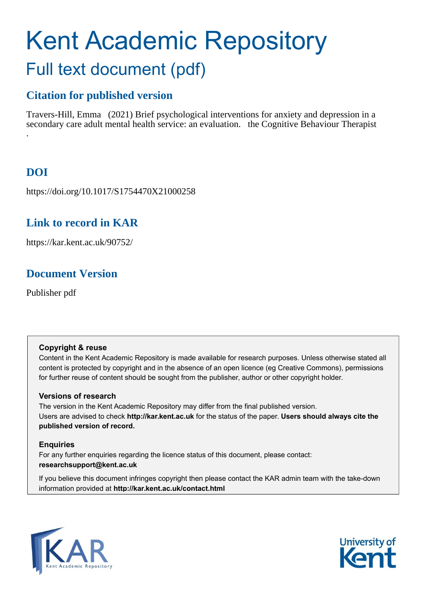# Kent Academic Repository Full text document (pdf)

# **Citation for published version**

Travers-Hill, Emma (2021) Brief psychological interventions for anxiety and depression in a secondary care adult mental health service: an evaluation. the Cognitive Behaviour Therapist .

# **DOI**

https://doi.org/10.1017/S1754470X21000258

## **Link to record in KAR**

https://kar.kent.ac.uk/90752/

# **Document Version**

Publisher pdf

### **Copyright & reuse**

Content in the Kent Academic Repository is made available for research purposes. Unless otherwise stated all content is protected by copyright and in the absence of an open licence (eg Creative Commons), permissions for further reuse of content should be sought from the publisher, author or other copyright holder.

### **Versions of research**

The version in the Kent Academic Repository may differ from the final published version. Users are advised to check **http://kar.kent.ac.uk** for the status of the paper. **Users should always cite the published version of record.**

### **Enquiries**

For any further enquiries regarding the licence status of this document, please contact: **researchsupport@kent.ac.uk**

If you believe this document infringes copyright then please contact the KAR admin team with the take-down information provided at **http://kar.kent.ac.uk/contact.html**



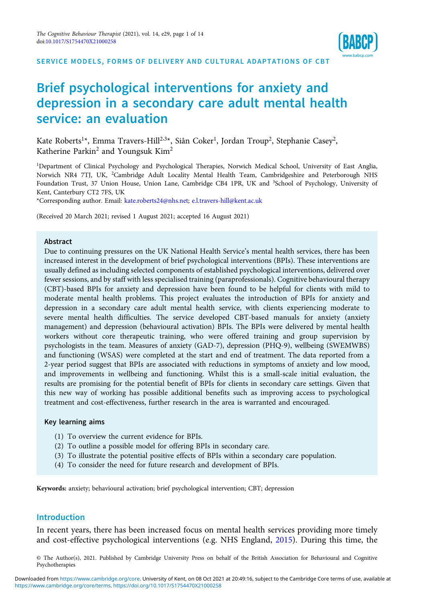

SERVICE MODELS, FORMS OF DELIVERY AND CULTURAL ADAPTATIONS OF CBT

### Brief psychological interventions for anxiety and depression in a secondary care adult mental health service: an evaluation

Kate Roberts $^{1\star}$ , Emma Travers-Hill $^{2.3\star}$ , Siân Coker $^1$ , Jordan Troup $^2$ , Stephanie Casey $^2$ , Katherine Parkin<sup>2</sup> and Youngsuk Kim<sup>2</sup>

1 Department of Clinical Psychology and Psychological Therapies, Norwich Medical School, University of East Anglia, Norwich NR4 7TJ, UK, <sup>2</sup>Cambridge Adult Locality Mental Health Team, Cambridgeshire and Peterborough NHS Foundation Trust, 37 Union House, Union Lane, Cambridge CB4 1PR, UK and <sup>3</sup>School of Psychology, University of Kent, Canterbury CT2 7FS, UK

\*Corresponding author. Email: [kate.roberts24@nhs.net;](mailto:kate.roberts24@nhs.net) [e.l.travers-hill@kent.ac.uk](mailto:e.l.travers-hill@kent.ac.uk)

(Received 20 March 2021; revised 1 August 2021; accepted 16 August 2021)

#### Abstract

Due to continuing pressures on the UK National Health Service's mental health services, there has been increased interest in the development of brief psychological interventions (BPIs). These interventions are usually defined as including selected components of established psychological interventions, delivered over fewer sessions, and by staff with less specialised training (paraprofessionals). Cognitive behavioural therapy (CBT)-based BPIs for anxiety and depression have been found to be helpful for clients with mild to moderate mental health problems. This project evaluates the introduction of BPIs for anxiety and depression in a secondary care adult mental health service, with clients experiencing moderate to severe mental health difficulties. The service developed CBT-based manuals for anxiety (anxiety management) and depression (behavioural activation) BPIs. The BPIs were delivered by mental health workers without core therapeutic training, who were offered training and group supervision by psychologists in the team. Measures of anxiety (GAD-7), depression (PHQ-9), wellbeing (SWEMWBS) and functioning (WSAS) were completed at the start and end of treatment. The data reported from a 2-year period suggest that BPIs are associated with reductions in symptoms of anxiety and low mood, and improvements in wellbeing and functioning. Whilst this is a small-scale initial evaluation, the results are promising for the potential benefit of BPIs for clients in secondary care settings. Given that this new way of working has possible additional benefits such as improving access to psychological treatment and cost-effectiveness, further research in the area is warranted and encouraged.

#### Key learning aims

- (1) To overview the current evidence for BPIs.
- (2) To outline a possible model for offering BPIs in secondary care.
- (3) To illustrate the potential positive effects of BPIs within a secondary care population.
- (4) To consider the need for future research and development of BPIs.

Keywords: anxiety; behavioural activation; brief psychological intervention; CBT; depression

#### Introduction

In recent years, there has been increased focus on mental health services providing more timely and cost-effective psychological interventions (e.g. NHS England, 2015). During this time, the

© The Author(s), 2021. Published by Cambridge University Press on behalf of the British Association for Behavioural and Cognitive Psychotherapies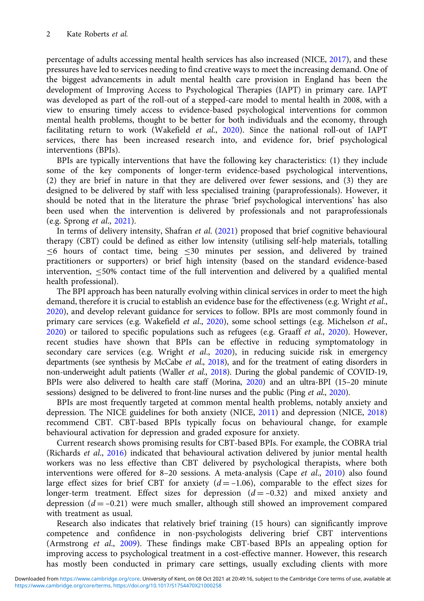percentage of adults accessing mental health services has also increased (NICE, 2017), and these pressures have led to services needing to find creative ways to meet the increasing demand. One of the biggest advancements in adult mental health care provision in England has been the development of Improving Access to Psychological Therapies (IAPT) in primary care. IAPT was developed as part of the roll-out of a stepped-care model to mental health in 2008, with a view to ensuring timely access to evidence-based psychological interventions for common mental health problems, thought to be better for both individuals and the economy, through facilitating return to work (Wakefield et al., 2020). Since the national roll-out of IAPT services, there has been increased research into, and evidence for, brief psychological interventions (BPIs).

BPIs are typically interventions that have the following key characteristics: (1) they include some of the key components of longer-term evidence-based psychological interventions, (2) they are brief in nature in that they are delivered over fewer sessions, and (3) they are designed to be delivered by staff with less specialised training (paraprofessionals). However, it should be noted that in the literature the phrase 'brief psychological interventions' has also been used when the intervention is delivered by professionals and not paraprofessionals (e.g. Sprong et al., 2021).

In terms of delivery intensity, Shafran et al. (2021) proposed that brief cognitive behavioural therapy (CBT) could be defined as either low intensity (utilising self-help materials, totalling ≤6 hours of contact time, being ≤30 minutes per session, and delivered by trained practitioners or supporters) or brief high intensity (based on the standard evidence-based intervention,  $\leq$ 50% contact time of the full intervention and delivered by a qualified mental health professional).

The BPI approach has been naturally evolving within clinical services in order to meet the high demand, therefore it is crucial to establish an evidence base for the effectiveness (e.g. Wright *et al.*, 2020), and develop relevant guidance for services to follow. BPIs are most commonly found in primary care services (e.g. Wakefield et al., 2020), some school settings (e.g. Michelson et al., 2020) or tailored to specific populations such as refugees (e.g. Graaff et al., 2020). However, recent studies have shown that BPIs can be effective in reducing symptomatology in secondary care services (e.g. Wright et al.,  $2020$ ), in reducing suicide risk in emergency departments (see synthesis by McCabe *et al.*, 2018), and for the treatment of eating disorders in non-underweight adult patients (Waller et al., 2018). During the global pandemic of COVID-19, BPIs were also delivered to health care staff (Morina, 2020) and an ultra-BPI (15–20 minute sessions) designed to be delivered to front-line nurses and the public (Ping et al., 2020).

BPIs are most frequently targeted at common mental health problems, notably anxiety and depression. The NICE guidelines for both anxiety (NICE, 2011) and depression (NICE, 2018) recommend CBT. CBT-based BPIs typically focus on behavioural change, for example behavioural activation for depression and graded exposure for anxiety.

Current research shows promising results for CBT-based BPIs. For example, the COBRA trial (Richards et al., 2016) indicated that behavioural activation delivered by junior mental health workers was no less effective than CBT delivered by psychological therapists, where both interventions were offered for 8-20 sessions. A meta-analysis (Cape et al., 2010) also found large effect sizes for brief CBT for anxiety  $(d = -1.06)$ , comparable to the effect sizes for longer-term treatment. Effect sizes for depression  $(d = -0.32)$  and mixed anxiety and depression  $(d = -0.21)$  were much smaller, although still showed an improvement compared with treatment as usual.

Research also indicates that relatively brief training (15 hours) can significantly improve competence and confidence in non-psychologists delivering brief CBT interventions (Armstrong et al., 2009). These findings make CBT-based BPIs an appealing option for improving access to psychological treatment in a cost-effective manner. However, this research has mostly been conducted in primary care settings, usually excluding clients with more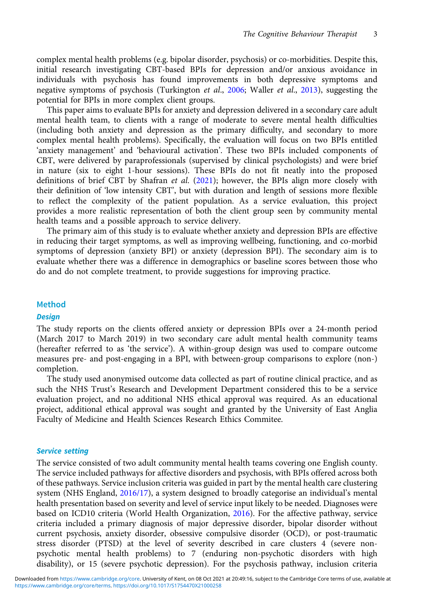complex mental health problems (e.g. bipolar disorder, psychosis) or co-morbidities. Despite this, initial research investigating CBT-based BPIs for depression and/or anxious avoidance in individuals with psychosis has found improvements in both depressive symptoms and negative symptoms of psychosis (Turkington *et al.*, 2006; Waller *et al.*, 2013), suggesting the potential for BPIs in more complex client groups.

This paper aims to evaluate BPIs for anxiety and depression delivered in a secondary care adult mental health team, to clients with a range of moderate to severe mental health difficulties (including both anxiety and depression as the primary difficulty, and secondary to more complex mental health problems). Specifically, the evaluation will focus on two BPIs entitled 'anxiety management' and 'behavioural activation'. These two BPIs included components of CBT, were delivered by paraprofessionals (supervised by clinical psychologists) and were brief in nature (six to eight 1-hour sessions). These BPIs do not fit neatly into the proposed definitions of brief CBT by Shafran et al. (2021); however, the BPIs align more closely with their definition of 'low intensity CBT', but with duration and length of sessions more flexible to reflect the complexity of the patient population. As a service evaluation, this project provides a more realistic representation of both the client group seen by community mental health teams and a possible approach to service delivery.

The primary aim of this study is to evaluate whether anxiety and depression BPIs are effective in reducing their target symptoms, as well as improving wellbeing, functioning, and co-morbid symptoms of depression (anxiety BPI) or anxiety (depression BPI). The secondary aim is to evaluate whether there was a difference in demographics or baseline scores between those who do and do not complete treatment, to provide suggestions for improving practice.

#### Method

#### **Design**

The study reports on the clients offered anxiety or depression BPIs over a 24-month period (March 2017 to March 2019) in two secondary care adult mental health community teams (hereafter referred to as 'the service'). A within-group design was used to compare outcome measures pre- and post-engaging in a BPI, with between-group comparisons to explore (non-) completion.

The study used anonymised outcome data collected as part of routine clinical practice, and as such the NHS Trust's Research and Development Department considered this to be a service evaluation project, and no additional NHS ethical approval was required. As an educational project, additional ethical approval was sought and granted by the University of East Anglia Faculty of Medicine and Health Sciences Research Ethics Commitee.

#### Service setting

The service consisted of two adult community mental health teams covering one English county. The service included pathways for affective disorders and psychosis, with BPIs offered across both of these pathways. Service inclusion criteria was guided in part by the mental health care clustering system (NHS England, 2016/17), a system designed to broadly categorise an individual's mental health presentation based on severity and level of service input likely to be needed. Diagnoses were based on ICD10 criteria (World Health Organization, 2016). For the affective pathway, service criteria included a primary diagnosis of major depressive disorder, bipolar disorder without current psychosis, anxiety disorder, obsessive compulsive disorder (OCD), or post-traumatic stress disorder (PTSD) at the level of severity described in care clusters 4 (severe nonpsychotic mental health problems) to 7 (enduring non-psychotic disorders with high disability), or 15 (severe psychotic depression). For the psychosis pathway, inclusion criteria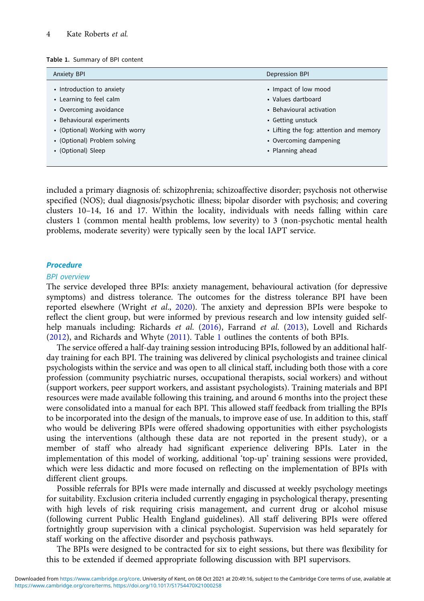| Table 1. Summary of BPI content |
|---------------------------------|
|---------------------------------|

| <b>Anxiety BPI</b>              | Depression BPI                          |  |
|---------------------------------|-----------------------------------------|--|
| • Introduction to anxiety       | • Impact of low mood                    |  |
| • Learning to feel calm         | • Values dartboard                      |  |
| • Overcoming avoidance          | • Behavioural activation                |  |
| • Behavioural experiments       | • Getting unstuck                       |  |
| • (Optional) Working with worry | • Lifting the fog: attention and memory |  |
| • (Optional) Problem solving    | • Overcoming dampening                  |  |
| • (Optional) Sleep              | • Planning ahead                        |  |

included a primary diagnosis of: schizophrenia; schizoaffective disorder; psychosis not otherwise specified (NOS); dual diagnosis/psychotic illness; bipolar disorder with psychosis; and covering clusters 10–14, 16 and 17. Within the locality, individuals with needs falling within care clusters 1 (common mental health problems, low severity) to 3 (non-psychotic mental health problems, moderate severity) were typically seen by the local IAPT service.

#### **Procedure**

#### BPI overview

The service developed three BPIs: anxiety management, behavioural activation (for depressive symptoms) and distress tolerance. The outcomes for the distress tolerance BPI have been reported elsewhere (Wright et al., 2020). The anxiety and depression BPIs were bespoke to reflect the client group, but were informed by previous research and low intensity guided selfhelp manuals including: Richards et al. (2016), Farrand et al. (2013), Lovell and Richards (2012), and Richards and Whyte (2011). Table 1 outlines the contents of both BPIs.

The service offered a half-day training session introducing BPIs, followed by an additional halfday training for each BPI. The training was delivered by clinical psychologists and trainee clinical psychologists within the service and was open to all clinical staff, including both those with a core profession (community psychiatric nurses, occupational therapists, social workers) and without (support workers, peer support workers, and assistant psychologists). Training materials and BPI resources were made available following this training, and around 6 months into the project these were consolidated into a manual for each BPI. This allowed staff feedback from trialling the BPIs to be incorporated into the design of the manuals, to improve ease of use. In addition to this, staff who would be delivering BPIs were offered shadowing opportunities with either psychologists using the interventions (although these data are not reported in the present study), or a member of staff who already had significant experience delivering BPIs. Later in the implementation of this model of working, additional 'top-up' training sessions were provided, which were less didactic and more focused on reflecting on the implementation of BPIs with different client groups.

Possible referrals for BPIs were made internally and discussed at weekly psychology meetings for suitability. Exclusion criteria included currently engaging in psychological therapy, presenting with high levels of risk requiring crisis management, and current drug or alcohol misuse (following current Public Health England guidelines). All staff delivering BPIs were offered fortnightly group supervision with a clinical psychologist. Supervision was held separately for staff working on the affective disorder and psychosis pathways.

The BPIs were designed to be contracted for six to eight sessions, but there was flexibility for this to be extended if deemed appropriate following discussion with BPI supervisors.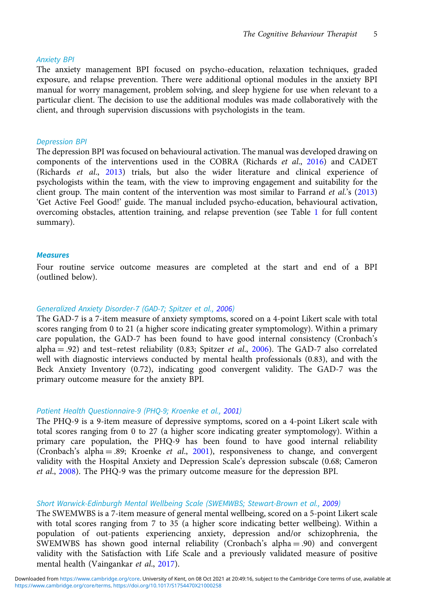#### Anxiety BPI

The anxiety management BPI focused on psycho-education, relaxation techniques, graded exposure, and relapse prevention. There were additional optional modules in the anxiety BPI manual for worry management, problem solving, and sleep hygiene for use when relevant to a particular client. The decision to use the additional modules was made collaboratively with the client, and through supervision discussions with psychologists in the team.

#### Depression BPI

The depression BPI was focused on behavioural activation. The manual was developed drawing on components of the interventions used in the COBRA (Richards et al., 2016) and CADET (Richards et al., 2013) trials, but also the wider literature and clinical experience of psychologists within the team, with the view to improving engagement and suitability for the client group. The main content of the intervention was most similar to Farrand et al.'s (2013) 'Get Active Feel Good!' guide. The manual included psycho-education, behavioural activation, overcoming obstacles, attention training, and relapse prevention (see Table 1 for full content summary).

#### **Measures**

Four routine service outcome measures are completed at the start and end of a BPI (outlined below).

#### Generalized Anxiety Disorder-7 (GAD-7; Spitzer et al., 2006)

The GAD-7 is a 7-item measure of anxiety symptoms, scored on a 4-point Likert scale with total scores ranging from 0 to 21 (a higher score indicating greater symptomology). Within a primary care population, the GAD-7 has been found to have good internal consistency (Cronbach's alpha  $= .92$ ) and test-retest reliability (0.83; Spitzer *et al.*, 2006). The GAD-7 also correlated well with diagnostic interviews conducted by mental health professionals (0.83), and with the Beck Anxiety Inventory (0.72), indicating good convergent validity. The GAD-7 was the primary outcome measure for the anxiety BPI.

#### Patient Health Questionnaire-9 (PHQ-9; Kroenke et al., 2001)

The PHQ-9 is a 9-item measure of depressive symptoms, scored on a 4-point Likert scale with total scores ranging from 0 to 27 (a higher score indicating greater symptomology). Within a primary care population, the PHQ-9 has been found to have good internal reliability (Cronbach's alpha = .89; Kroenke et al., 2001), responsiveness to change, and convergent validity with the Hospital Anxiety and Depression Scale's depression subscale (0.68; Cameron et al., 2008). The PHQ-9 was the primary outcome measure for the depression BPI.

#### Short Warwick-Edinburgh Mental Wellbeing Scale (SWEMWBS; Stewart-Brown et al., 2009)

The SWEMWBS is a 7-item measure of general mental wellbeing, scored on a 5-point Likert scale with total scores ranging from 7 to 35 (a higher score indicating better wellbeing). Within a population of out-patients experiencing anxiety, depression and/or schizophrenia, the SWEMWBS has shown good internal reliability (Cronbach's alpha  $= .90$ ) and convergent validity with the Satisfaction with Life Scale and a previously validated measure of positive mental health (Vaingankar et al., 2017).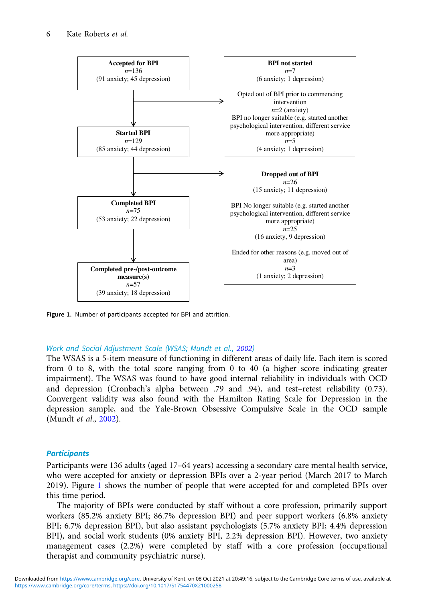

Figure 1. Number of participants accepted for BPI and attrition.

#### Work and Social Adjustment Scale (WSAS; Mundt et al., 2002)

The WSAS is a 5-item measure of functioning in different areas of daily life. Each item is scored from 0 to 8, with the total score ranging from 0 to 40 (a higher score indicating greater impairment). The WSAS was found to have good internal reliability in individuals with OCD and depression (Cronbach's alpha between .79 and .94), and test–retest reliability (0.73). Convergent validity was also found with the Hamilton Rating Scale for Depression in the depression sample, and the Yale-Brown Obsessive Compulsive Scale in the OCD sample (Mundt et al., 2002).

#### **Participants**

Participants were 136 adults (aged 17–64 years) accessing a secondary care mental health service, who were accepted for anxiety or depression BPIs over a 2-year period (March 2017 to March 2019). Figure 1 shows the number of people that were accepted for and completed BPIs over this time period.

The majority of BPIs were conducted by staff without a core profession, primarily support workers (85.2% anxiety BPI; 86.7% depression BPI) and peer support workers (6.8% anxiety BPI; 6.7% depression BPI), but also assistant psychologists (5.7% anxiety BPI; 4.4% depression BPI), and social work students (0% anxiety BPI, 2.2% depression BPI). However, two anxiety management cases (2.2%) were completed by staff with a core profession (occupational therapist and community psychiatric nurse).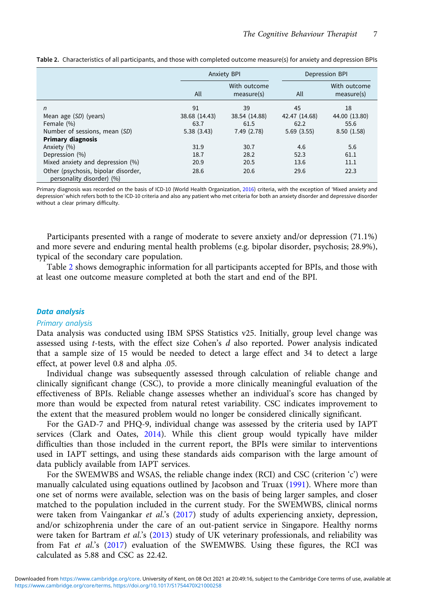|                                                                  | <b>Anxiety BPI</b> |                            | Depression BPI |                            |
|------------------------------------------------------------------|--------------------|----------------------------|----------------|----------------------------|
|                                                                  | All                | With outcome<br>measure(s) | All            | With outcome<br>measure(s) |
| n                                                                | 91                 | 39                         | 45             | 18                         |
| Mean age (SD) (years)                                            | 38.68 (14.43)      | 38.54 (14.88)              | 42.47 (14.68)  | 44.00 (13.80)              |
| Female (%)                                                       | 63.7               | 61.5                       | 62.2           | 55.6                       |
| Number of sessions, mean (SD)                                    | 5.38(3.43)         | 7.49(2.78)                 | 5.69(3.55)     | 8.50(1.58)                 |
| <b>Primary diagnosis</b>                                         |                    |                            |                |                            |
| Anxiety (%)                                                      | 31.9               | 30.7                       | 4.6            | 5.6                        |
| Depression (%)                                                   | 18.7               | 28.2                       | 52.3           | 61.1                       |
| Mixed anxiety and depression (%)                                 | 20.9               | 20.5                       | 13.6           | 11.1                       |
| Other (psychosis, bipolar disorder,<br>personality disorder) (%) | 28.6               | 20.6                       | 29.6           | 22.3                       |

Table 2. Characteristics of all participants, and those with completed outcome measure(s) for anxiety and depression BPIs

Primary diagnosis was recorded on the basis of ICD-10 (World Health Organization, 2016) criteria, with the exception of 'Mixed anxiety and depression' which refers both to the ICD-10 criteria and also any patient who met criteria for both an anxiety disorder and depressive disorder without a clear primary difficulty.

Participants presented with a range of moderate to severe anxiety and/or depression (71.1%) and more severe and enduring mental health problems (e.g. bipolar disorder, psychosis; 28.9%), typical of the secondary care population.

Table 2 shows demographic information for all participants accepted for BPIs, and those with at least one outcome measure completed at both the start and end of the BPI.

#### Data analysis

#### Primary analysis

Data analysis was conducted using IBM SPSS Statistics v25. Initially, group level change was assessed using  $t$ -tests, with the effect size Cohen's  $d$  also reported. Power analysis indicated that a sample size of 15 would be needed to detect a large effect and 34 to detect a large effect, at power level 0.8 and alpha .05.

Individual change was subsequently assessed through calculation of reliable change and clinically significant change (CSC), to provide a more clinically meaningful evaluation of the effectiveness of BPIs. Reliable change assesses whether an individual's score has changed by more than would be expected from natural retest variability. CSC indicates improvement to the extent that the measured problem would no longer be considered clinically significant.

For the GAD-7 and PHQ-9, individual change was assessed by the criteria used by IAPT services (Clark and Oates, 2014). While this client group would typically have milder difficulties than those included in the current report, the BPIs were similar to interventions used in IAPT settings, and using these standards aids comparison with the large amount of data publicly available from IAPT services.

For the SWEMWBS and WSAS, the reliable change index (RCI) and CSC (criterion 'c') were manually calculated using equations outlined by Jacobson and Truax (1991). Where more than one set of norms were available, selection was on the basis of being larger samples, and closer matched to the population included in the current study. For the SWEMWBS, clinical norms were taken from Vaingankar et al.'s (2017) study of adults experiencing anxiety, depression, and/or schizophrenia under the care of an out-patient service in Singapore. Healthy norms were taken for Bartram et al.'s (2013) study of UK veterinary professionals, and reliability was from Fat et al.'s (2017) evaluation of the SWEMWBS. Using these figures, the RCI was calculated as 5.88 and CSC as 22.42.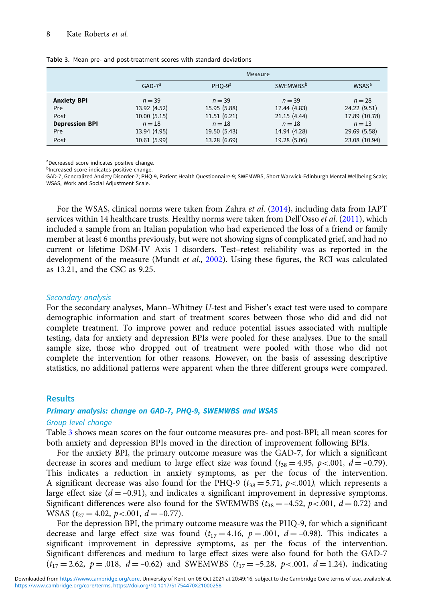|                       |              | Measure      |                             |                         |  |  |
|-----------------------|--------------|--------------|-----------------------------|-------------------------|--|--|
|                       | $GAD-7a$     | $PHO-9a$     | <b>SWEMWBS</b> <sup>b</sup> | <b>WSAS<sup>a</sup></b> |  |  |
| <b>Anxiety BPI</b>    | $n = 39$     | $n = 39$     | $n = 39$                    | $n = 28$                |  |  |
| Pre                   | 13.92 (4.52) | 15.95 (5.88) | 17.44 (4.83)                | 24.22 (9.51)            |  |  |
| Post                  | 10.00(5.15)  | 11.51(6.21)  | 21.15(4.44)                 | 17.89 (10.78)           |  |  |
| <b>Depression BPI</b> | $n = 18$     | $n=18$       | $n = 18$                    | $n = 13$                |  |  |
| Pre                   | 13.94 (4.95) | 19.50 (5.43) | 14.94 (4.28)                | 29.69 (5.58)            |  |  |
| Post                  | 10.61 (5.99) | 13.28 (6.69) | 19.28 (5.06)                | 23.08 (10.94)           |  |  |

Table 3. Mean pre- and post-treatment scores with standard deviations

a Decreased score indicates positive change.

bIncreased score indicates positive change.

GAD-7, Generalized Anxiety Disorder-7; PHQ-9, Patient Health Questionnaire-9; SWEMWBS, Short Warwick-Edinburgh Mental Wellbeing Scale; WSAS, Work and Social Adjustment Scale.

For the WSAS, clinical norms were taken from Zahra *et al.* (2014), including data from IAPT services within 14 healthcare trusts. Healthy norms were taken from Dell'Osso et al. (2011), which included a sample from an Italian population who had experienced the loss of a friend or family member at least 6 months previously, but were not showing signs of complicated grief, and had no current or lifetime DSM-IV Axis I disorders. Test–retest reliability was as reported in the development of the measure (Mundt et al., 2002). Using these figures, the RCI was calculated as 13.21, and the CSC as 9.25.

#### Secondary analysis

For the secondary analyses, Mann–Whitney U-test and Fisher's exact test were used to compare demographic information and start of treatment scores between those who did and did not complete treatment. To improve power and reduce potential issues associated with multiple testing, data for anxiety and depression BPIs were pooled for these analyses. Due to the small sample size, those who dropped out of treatment were pooled with those who did not complete the intervention for other reasons. However, on the basis of assessing descriptive statistics, no additional patterns were apparent when the three different groups were compared.

#### **Results**

#### Primary analysis: change on GAD-7, PHQ-9, SWEMWBS and WSAS

#### Group level change

Table 3 shows mean scores on the four outcome measures pre- and post-BPI; all mean scores for both anxiety and depression BPIs moved in the direction of improvement following BPIs.

For the anxiety BPI, the primary outcome measure was the GAD-7, for which a significant decrease in scores and medium to large effect size was found  $(t_{38} = 4.95, p < .001, d = -0.79)$ . This indicates a reduction in anxiety symptoms, as per the focus of the intervention. A significant decrease was also found for the PHQ-9 ( $t_{38} = 5.71$ ,  $p < .001$ ), which represents a large effect size  $(d = -0.91)$ , and indicates a significant improvement in depressive symptoms. Significant differences were also found for the SWEMWBS ( $t_{38} = -4.52$ ,  $p < .001$ ,  $d = 0.72$ ) and WSAS  $(t_{27} = 4.02, p < .001, d = -0.77)$ .

For the depression BPI, the primary outcome measure was the PHQ-9, for which a significant decrease and large effect size was found  $(t_{17} = 4.16, p = .001, d = -0.98)$ . This indicates a significant improvement in depressive symptoms, as per the focus of the intervention. Significant differences and medium to large effect sizes were also found for both the GAD-7  $(t_{17} = 2.62, p = .018, d = -0.62)$  and SWEMWBS  $(t_{17} = -5.28, p < .001, d = 1.24)$ , indicating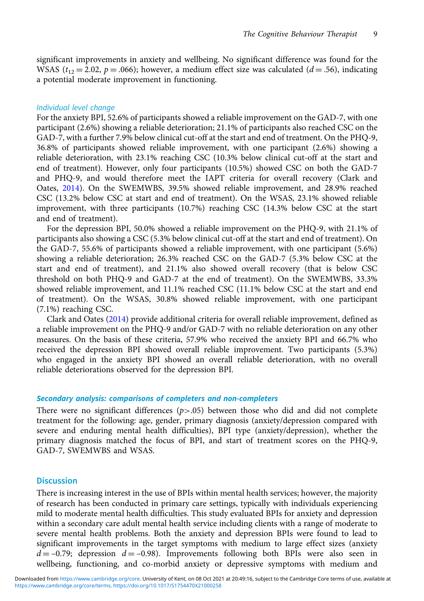significant improvements in anxiety and wellbeing. No significant difference was found for the WSAS ( $t_{12} = 2.02$ ,  $p = .066$ ); however, a medium effect size was calculated ( $d = .56$ ), indicating a potential moderate improvement in functioning.

#### Individual level change

For the anxiety BPI, 52.6% of participants showed a reliable improvement on the GAD-7, with one participant (2.6%) showing a reliable deterioration; 21.1% of participants also reached CSC on the GAD-7, with a further 7.9% below clinical cut-off at the start and end of treatment. On the PHQ-9, 36.8% of participants showed reliable improvement, with one participant (2.6%) showing a reliable deterioration, with 23.1% reaching CSC (10.3% below clinical cut-off at the start and end of treatment). However, only four participants (10.5%) showed CSC on both the GAD-7 and PHQ-9, and would therefore meet the IAPT criteria for overall recovery (Clark and Oates, 2014). On the SWEMWBS, 39.5% showed reliable improvement, and 28.9% reached CSC (13.2% below CSC at start and end of treatment). On the WSAS, 23.1% showed reliable improvement, with three participants (10.7%) reaching CSC (14.3% below CSC at the start and end of treatment).

For the depression BPI, 50.0% showed a reliable improvement on the PHQ-9, with 21.1% of participants also showing a CSC (5.3% below clinical cut-off at the start and end of treatment). On the GAD-7, 55.6% of participants showed a reliable improvement, with one participant (5.6%) showing a reliable deterioration; 26.3% reached CSC on the GAD-7 (5.3% below CSC at the start and end of treatment), and 21.1% also showed overall recovery (that is below CSC threshold on both PHQ-9 and GAD-7 at the end of treatment). On the SWEMWBS, 33.3% showed reliable improvement, and 11.1% reached CSC (11.1% below CSC at the start and end of treatment). On the WSAS, 30.8% showed reliable improvement, with one participant (7.1%) reaching CSC.

Clark and Oates (2014) provide additional criteria for overall reliable improvement, defined as a reliable improvement on the PHQ-9 and/or GAD-7 with no reliable deterioration on any other measures. On the basis of these criteria, 57.9% who received the anxiety BPI and 66.7% who received the depression BPI showed overall reliable improvement. Two participants (5.3%) who engaged in the anxiety BPI showed an overall reliable deterioration, with no overall reliable deteriorations observed for the depression BPI.

#### Secondary analysis: comparisons of completers and non-completers

There were no significant differences  $(p>0.05)$  between those who did and did not complete treatment for the following: age, gender, primary diagnosis (anxiety/depression compared with severe and enduring mental health difficulties), BPI type (anxiety/depression), whether the primary diagnosis matched the focus of BPI, and start of treatment scores on the PHQ-9, GAD-7, SWEMWBS and WSAS.

#### **Discussion**

There is increasing interest in the use of BPIs within mental health services; however, the majority of research has been conducted in primary care settings, typically with individuals experiencing mild to moderate mental health difficulties. This study evaluated BPIs for anxiety and depression within a secondary care adult mental health service including clients with a range of moderate to severe mental health problems. Both the anxiety and depression BPIs were found to lead to significant improvements in the target symptoms with medium to large effect sizes (anxiety  $d = -0.79$ ; depression  $d = -0.98$ ). Improvements following both BPIs were also seen in wellbeing, functioning, and co-morbid anxiety or depressive symptoms with medium and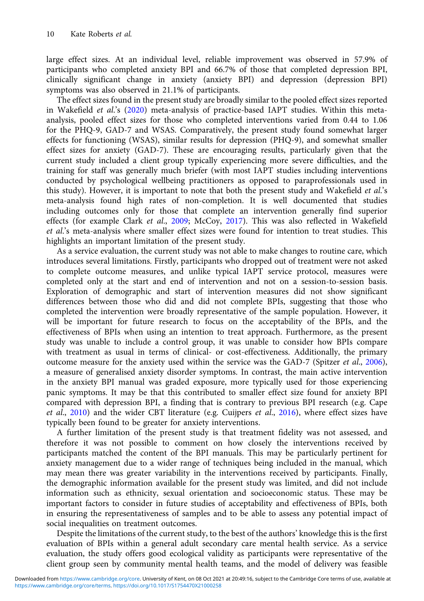large effect sizes. At an individual level, reliable improvement was observed in 57.9% of participants who completed anxiety BPI and 66.7% of those that completed depression BPI, clinically significant change in anxiety (anxiety BPI) and depression (depression BPI) symptoms was also observed in 21.1% of participants.

The effect sizes found in the present study are broadly similar to the pooled effect sizes reported in Wakefield et al.'s (2020) meta-analysis of practice-based IAPT studies. Within this metaanalysis, pooled effect sizes for those who completed interventions varied from 0.44 to 1.06 for the PHQ-9, GAD-7 and WSAS. Comparatively, the present study found somewhat larger effects for functioning (WSAS), similar results for depression (PHQ-9), and somewhat smaller effect sizes for anxiety (GAD-7). These are encouraging results, particularly given that the current study included a client group typically experiencing more severe difficulties, and the training for staff was generally much briefer (with most IAPT studies including interventions conducted by psychological wellbeing practitioners as opposed to paraprofessionals used in this study). However, it is important to note that both the present study and Wakefield et al.'s meta-analysis found high rates of non-completion. It is well documented that studies including outcomes only for those that complete an intervention generally find superior effects (for example Clark et al., 2009; McCoy, 2017). This was also reflected in Wakefield et al.'s meta-analysis where smaller effect sizes were found for intention to treat studies. This highlights an important limitation of the present study.

As a service evaluation, the current study was not able to make changes to routine care, which introduces several limitations. Firstly, participants who dropped out of treatment were not asked to complete outcome measures, and unlike typical IAPT service protocol, measures were completed only at the start and end of intervention and not on a session-to-session basis. Exploration of demographic and start of intervention measures did not show significant differences between those who did and did not complete BPIs, suggesting that those who completed the intervention were broadly representative of the sample population. However, it will be important for future research to focus on the acceptability of the BPIs, and the effectiveness of BPIs when using an intention to treat approach. Furthermore, as the present study was unable to include a control group, it was unable to consider how BPIs compare with treatment as usual in terms of clinical- or cost-effectiveness. Additionally, the primary outcome measure for the anxiety used within the service was the GAD-7 (Spitzer et al., 2006), a measure of generalised anxiety disorder symptoms. In contrast, the main active intervention in the anxiety BPI manual was graded exposure, more typically used for those experiencing panic symptoms. It may be that this contributed to smaller effect size found for anxiety BPI compared with depression BPI, a finding that is contrary to previous BPI research (e.g. Cape et al., 2010) and the wider CBT literature (e.g. Cuijpers et al., 2016), where effect sizes have typically been found to be greater for anxiety interventions.

A further limitation of the present study is that treatment fidelity was not assessed, and therefore it was not possible to comment on how closely the interventions received by participants matched the content of the BPI manuals. This may be particularly pertinent for anxiety management due to a wider range of techniques being included in the manual, which may mean there was greater variability in the interventions received by participants. Finally, the demographic information available for the present study was limited, and did not include information such as ethnicity, sexual orientation and socioeconomic status. These may be important factors to consider in future studies of acceptability and effectiveness of BPIs, both in ensuring the representativeness of samples and to be able to assess any potential impact of social inequalities on treatment outcomes.

Despite the limitations of the current study, to the best of the authors' knowledge this is the first evaluation of BPIs within a general adult secondary care mental health service. As a service evaluation, the study offers good ecological validity as participants were representative of the client group seen by community mental health teams, and the model of delivery was feasible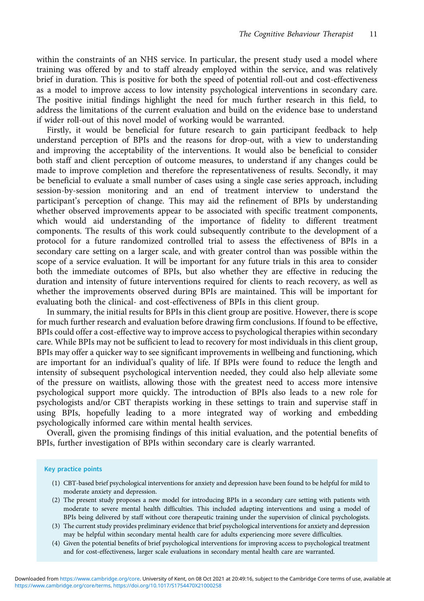within the constraints of an NHS service. In particular, the present study used a model where training was offered by and to staff already employed within the service, and was relatively brief in duration. This is positive for both the speed of potential roll-out and cost-effectiveness as a model to improve access to low intensity psychological interventions in secondary care. The positive initial findings highlight the need for much further research in this field, to address the limitations of the current evaluation and build on the evidence base to understand if wider roll-out of this novel model of working would be warranted.

Firstly, it would be beneficial for future research to gain participant feedback to help understand perception of BPIs and the reasons for drop-out, with a view to understanding and improving the acceptability of the interventions. It would also be beneficial to consider both staff and client perception of outcome measures, to understand if any changes could be made to improve completion and therefore the representativeness of results. Secondly, it may be beneficial to evaluate a small number of cases using a single case series approach, including session-by-session monitoring and an end of treatment interview to understand the participant's perception of change. This may aid the refinement of BPIs by understanding whether observed improvements appear to be associated with specific treatment components, which would aid understanding of the importance of fidelity to different treatment components. The results of this work could subsequently contribute to the development of a protocol for a future randomized controlled trial to assess the effectiveness of BPIs in a secondary care setting on a larger scale, and with greater control than was possible within the scope of a service evaluation. It will be important for any future trials in this area to consider both the immediate outcomes of BPIs, but also whether they are effective in reducing the duration and intensity of future interventions required for clients to reach recovery, as well as whether the improvements observed during BPIs are maintained. This will be important for evaluating both the clinical- and cost-effectiveness of BPIs in this client group.

In summary, the initial results for BPIs in this client group are positive. However, there is scope for much further research and evaluation before drawing firm conclusions. If found to be effective, BPIs could offer a cost-effective way to improve access to psychological therapies within secondary care. While BPIs may not be sufficient to lead to recovery for most individuals in this client group, BPIs may offer a quicker way to see significant improvements in wellbeing and functioning, which are important for an individual's quality of life. If BPIs were found to reduce the length and intensity of subsequent psychological intervention needed, they could also help alleviate some of the pressure on waitlists, allowing those with the greatest need to access more intensive psychological support more quickly. The introduction of BPIs also leads to a new role for psychologists and/or CBT therapists working in these settings to train and supervise staff in using BPIs, hopefully leading to a more integrated way of working and embedding psychologically informed care within mental health services.

Overall, given the promising findings of this initial evaluation, and the potential benefits of BPIs, further investigation of BPIs within secondary care is clearly warranted.

#### Key practice points

- (1) CBT-based brief psychological interventions for anxiety and depression have been found to be helpful for mild to moderate anxiety and depression.
- (2) The present study proposes a new model for introducing BPIs in a secondary care setting with patients with moderate to severe mental health difficulties. This included adapting interventions and using a model of BPIs being delivered by staff without core therapeutic training under the supervision of clinical psychologists.
- (3) The current study provides preliminary evidence that brief psychological interventions for anxiety and depression may be helpful within secondary mental health care for adults experiencing more severe difficulties.
- (4) Given the potential benefits of brief psychological interventions for improving access to psychological treatment and for cost-effectiveness, larger scale evaluations in secondary mental health care are warranted.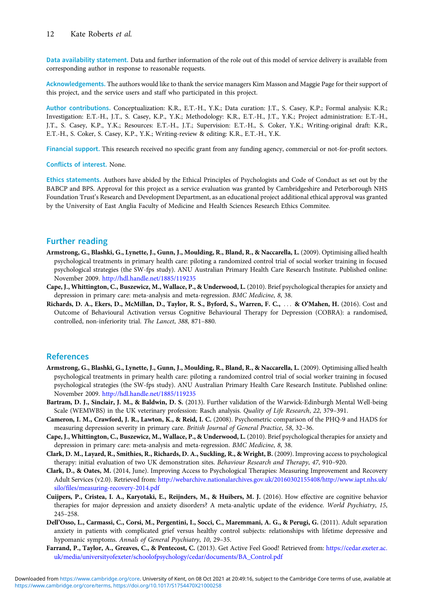Data availability statement. Data and further information of the role out of this model of service delivery is available from corresponding author in response to reasonable requests.

Acknowledgements. The authors would like to thank the service managers Kim Masson and Maggie Page for their support of this project, and the service users and staff who participated in this project.

Author contributions. Conceptualization: K.R., E.T.-H., Y.K.; Data curation: J.T., S. Casey, K.P.; Formal analysis: K.R.; Investigation: E.T.-H., J.T., S. Casey, K.P., Y.K.; Methodology: K.R., E.T.-H., J.T., Y.K.; Project administration: E.T.-H., J.T., S. Casey, K.P., Y.K.; Resources: E.T.-H., J.T.; Supervision: E.T.-H., S. Coker, Y.K.; Writing-original draft: K.R., E.T.-H., S. Coker, S. Casey, K.P., Y.K.; Writing-review & editing: K.R., E.T.-H., Y.K.

Financial support. This research received no specific grant from any funding agency, commercial or not-for-profit sectors.

Conflicts of interest. None.

Ethics statements. Authors have abided by the Ethical Principles of Psychologists and Code of Conduct as set out by the BABCP and BPS. Approval for this project as a service evaluation was granted by Cambridgeshire and Peterborough NHS Foundation Trust's Research and Development Department, as an educational project additional ethical approval was granted by the University of East Anglia Faculty of Medicine and Health Sciences Research Ethics Commitee.

### Further reading

- Armstrong, G., Blashki, G., Lynette, J., Gunn, J., Moulding, R., Bland, R., & Naccarella, L. (2009). Optimising allied health psychological treatments in primary health care: piloting a randomized control trial of social worker training in focused psychological strategies (the SW-fps study). ANU Australian Primary Health Care Research Institute. Published online: November 2009. <http://hdl.handle.net/1885/119235>
- Cape, J., Whittington, C., Buszewicz, M., Wallace, P., & Underwood, L. (2010). Brief psychological therapies for anxiety and depression in primary care: meta-analysis and meta-regression. BMC Medicine, 8, 38.
- Richards, D. A., Ekers, D., McMillan, D., Taylor, R. S., Byford, S., Warren, F. C., ::: & O'Mahen, H. (2016). Cost and Outcome of Behavioural Activation versus Cognitive Behavioural Therapy for Depression (COBRA): a randomised, controlled, non-inferiority trial. The Lancet, 388, 871–880.

#### References

- Armstrong, G., Blashki, G., Lynette, J., Gunn, J., Moulding, R., Bland, R., & Naccarella, L. (2009). Optimising allied health psychological treatments in primary health care: piloting a randomized control trial of social worker training in focused psychological strategies (the SW-fps study). ANU Australian Primary Health Care Research Institute. Published online: November 2009. <http://hdl.handle.net/1885/119235>
- Bartram, D. J., Sinclair, J. M., & Baldwin, D. S. (2013). Further validation of the Warwick-Edinburgh Mental Well-being Scale (WEMWBS) in the UK veterinary profession: Rasch analysis. Quality of Life Research, 22, 379–391.
- Cameron, I. M., Crawford, J. R., Lawton, K., & Reid, I. C. (2008). Psychometric comparison of the PHQ-9 and HADS for measuring depression severity in primary care. British Journal of General Practice, 58, 32–36.
- Cape, J., Whittington, C., Buszewicz, M., Wallace, P., & Underwood, L. (2010). Brief psychological therapies for anxiety and depression in primary care: meta-analysis and meta-regression. BMC Medicine, 8, 38.
- Clark, D. M., Layard, R., Smithies, R., Richards, D. A., Suckling, R., & Wright, B. (2009). Improving access to psychological therapy: initial evaluation of two UK demonstration sites. Behaviour Research and Therapy, 47, 910–920.
- Clark, D., & Oates, M. (2014, June). Improving Access to Psychological Therapies: Measuring Improvement and Recovery Adult Services (v2.0). Retrieved from: [http://webarchive.nationalarchives.gov.uk/20160302155408/http://www.iapt.nhs.uk/](http://webarchive.nationalarchives.gov.uk/20160302155408/http://www.iapt.nhs.uk/silo/files/measuring-recovery-2014.pdf) [silo/files/measuring-recovery-2014.pdf](http://webarchive.nationalarchives.gov.uk/20160302155408/http://www.iapt.nhs.uk/silo/files/measuring-recovery-2014.pdf)
- Cuijpers, P., Cristea, I. A., Karyotaki, E., Reijnders, M., & Huibers, M. J. (2016). How effective are cognitive behavior therapies for major depression and anxiety disorders? A meta-analytic update of the evidence. World Psychiatry, 15, 245–258.
- Dell'Osso, L., Carmassi, C., Corsi, M., Pergentini, I., Socci, C., Maremmani, A. G., & Perugi, G. (2011). Adult separation anxiety in patients with complicated grief versus healthy control subjects: relationships with lifetime depressive and hypomanic symptoms. Annals of General Psychiatry, 10, 29–35.
- Farrand, P., Taylor, A., Greaves, C., & Pentecost, C. (2013). Get Active Feel Good! Retrieved from: [https://cedar.exeter.ac.](https://cedar.exeter.ac.uk/media/universityofexeter/schoolofpsychology/cedar/documents/BA_Control.pdf) [uk/media/universityofexeter/schoolofpsychology/cedar/documents/BA\\_Control.pdf](https://cedar.exeter.ac.uk/media/universityofexeter/schoolofpsychology/cedar/documents/BA_Control.pdf)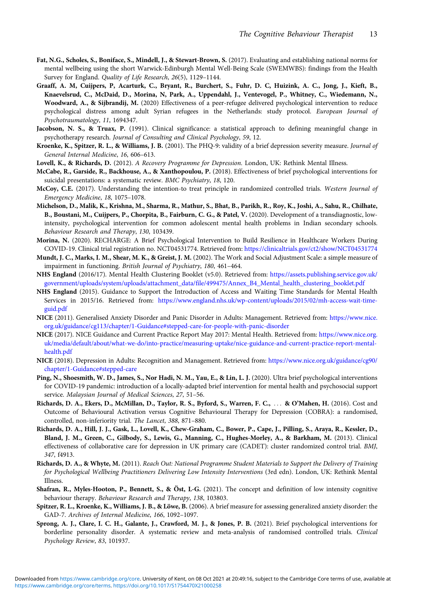- Fat, N.G., Scholes, S., Boniface, S., Mindell, J., & Stewart-Brown, S. (2017). Evaluating and establishing national norms for mental wellbeing using the short Warwick-Edinburgh Mental Well-Being Scale (SWEMWBS): findings from the Health Survey for England. Quality of Life Research, 26(5), 1129–1144.
- Graaff, A. M, Cuijpers, P, Acarturk, C., Bryant, R., Burchert, S., Fuhr, D. C, Huizink, A. C., Jong, J., Kieft, B., Knaevelsrud, C., McDaid, D., Morina, N, Park, A., Uppendahl, J., Ventevogel, P., Whitney, C., Wiedemann, N., Woodward, A., & Sijbrandij, M. (2020) Effectiveness of a peer-refugee delivered psychological intervention to reduce psychological distress among adult Syrian refugees in the Netherlands: study protocol. European Journal of Psychotraumatology, 11, 1694347.
- Jacobson, N. S., & Truax, P. (1991). Clinical significance: a statistical approach to defining meaningful change in psychotherapy research. Journal of Consulting and Clinical Psychology, 59, 12.
- Kroenke, K., Spitzer, R. L., & Williams, J. B. (2001). The PHQ-9: validity of a brief depression severity measure. Journal of General Internal Medicine, 16, 606–613.
- Lovell, K., & Richards, D. (2012). A Recovery Programme for Depression. London, UK: Rethink Mental Illness.
- McCabe, R., Garside, R., Backhouse, A., & Xanthopoulou, P. (2018). Effectiveness of brief psychological interventions for suicidal presentations: a systematic review. BMC Psychiatry, 18, 120.
- McCoy, C.E. (2017). Understanding the intention-to treat principle in randomized controlled trials. Western Journal of Emergency Medicine, 18, 1075–1078.
- Michelson, D., Malik, K., Krishna, M., Sharma, R., Mathur, S., Bhat, B., Parikh, R., Roy, K., Joshi, A., Sahu, R., Chilhate, B., Boustani, M., Cuijpers, P., Chorpita, B., Fairburn, C. G., & Patel, V. (2020). Development of a transdiagnostic, lowintensity, psychological intervention for common adolescent mental health problems in Indian secondary schools. Behaviour Research and Therapy, 130, 103439.
- Morina, N. (2020). RECHARGE: A Brief Psychological Intervention to Build Resilience in Healthcare Workers During COVID-19. Clinical trial registration no. NCT04531774. Retrieved from: <https://clinicaltrials.gov/ct2/show/NCT04531774>
- Mundt, J. C., Marks, I. M., Shear, M. K., & Greist, J. M. (2002). The Work and Social Adjustment Scale: a simple measure of impairment in functioning. British Journal of Psychiatry, 180, 461–464.
- NHS England (2016/17). Mental Health Clustering Booklet (v5.0). Retrieved from: [https://assets.publishing.service.gov.uk/](https://assets.publishing.service.gov.uk/government/uploads/system/uploads/attachment_data/file/499475/Annex_B4_Mental_health_clustering_booklet.pdf) [government/uploads/system/uploads/attachment\\_data/file/499475/Annex\\_B4\\_Mental\\_health\\_clustering\\_booklet.pdf](https://assets.publishing.service.gov.uk/government/uploads/system/uploads/attachment_data/file/499475/Annex_B4_Mental_health_clustering_booklet.pdf)
- NHS England (2015). Guidance to Support the Introduction of Access and Waiting Time Standards for Mental Health Services in 2015/16. Retrieved from: [https://www.england.nhs.uk/wp-content/uploads/2015/02/mh-access-wait-time](https://www.england.nhs.uk/wp-content/uploads/2015/02/mh-access-wait-time-guid.pdf)[guid.pdf](https://www.england.nhs.uk/wp-content/uploads/2015/02/mh-access-wait-time-guid.pdf)
- NICE (2011). Generalised Anxiety Disorder and Panic Disorder in Adults: Management. Retrieved from: [https://www.nice.](https://www.nice.org.uk/guidance/cg113/chapter/1-Guidance#stepped-care-for-people-with-panic-disorder) [org.uk/guidance/cg113/chapter/1-Guidance#stepped-care-for-people-with-panic-disorder](https://www.nice.org.uk/guidance/cg113/chapter/1-Guidance#stepped-care-for-people-with-panic-disorder)
- NICE (2017). NICE Guidance and Current Practice Report May 2017: Mental Health. Retrieved from: [https://www.nice.org.](https://www.nice.org.uk/media/default/about/what-we-do/into-practice/measuring-uptake/nice-guidance-and-current-practice-report-mental-health.pdf) [uk/media/default/about/what-we-do/into-practice/measuring-uptake/nice-guidance-and-current-practice-report-mental](https://www.nice.org.uk/media/default/about/what-we-do/into-practice/measuring-uptake/nice-guidance-and-current-practice-report-mental-health.pdf)[health.pdf](https://www.nice.org.uk/media/default/about/what-we-do/into-practice/measuring-uptake/nice-guidance-and-current-practice-report-mental-health.pdf)
- NICE (2018). Depression in Adults: Recognition and Management. Retrieved from: [https://www.nice.org.uk/guidance/cg90/](https://www.nice.org.uk/guidance/cg90/chapter/1-Guidance#stepped-care) [chapter/1-Guidance#stepped-care](https://www.nice.org.uk/guidance/cg90/chapter/1-Guidance#stepped-care)
- Ping, N., Shoesmith, W. D., James, S., Nor Hadi, N. M., Yau, E., & Lin, L. J. (2020). Ultra brief psychological interventions for COVID-19 pandemic: introduction of a locally-adapted brief intervention for mental health and psychosocial support service. Malaysian Journal of Medical Sciences, 27, 51–56.
- Richards, D. A., Ekers, D., McMillan, D., Taylor, R. S., Byford, S., Warren, F. C., ::: & O'Mahen, H. (2016). Cost and Outcome of Behavioural Activation versus Cognitive Behavioural Therapy for Depression (COBRA): a randomised, controlled, non-inferiority trial. The Lancet, 388, 871–880.
- Richards, D. A., Hill, J. J., Gask, L., Lovell, K., Chew-Graham, C., Bower, P., Cape, J., Pilling, S., Araya, R., Kessler, D., Bland, J. M., Green, C., Gilbody, S., Lewis, G., Manning, C., Hughes-Morley, A., & Barkham, M. (2013). Clinical effectiveness of collaborative care for depression in UK primary care (CADET): cluster randomized control trial. BMJ, 347, f4913.
- Richards, D. A., & Whyte, M. (2011). Reach Out: National Programme Student Materials to Support the Delivery of Training for Psychological Wellbeing Practitioners Delivering Low Intensity Interventions (3rd edn). London, UK: Rethink Mental Illness.
- Shafran, R., Myles-Hooton, P., Bennett, S., & Öst, L-G. (2021). The concept and definition of low intensity cognitive behaviour therapy. Behaviour Research and Therapy, 138, 103803.
- Spitzer, R. L., Kroenke, K., Williams, J. B., & Löwe, B. (2006). A brief measure for assessing generalized anxiety disorder: the GAD-7. Archives of Internal Medicine, 166, 1092–1097.
- Sprong, A. J., Clare, I. C. H., Galante, J., Crawford, M. J., & Jones, P. B. (2021). Brief psychological interventions for borderline personality disorder. A systematic review and meta-analysis of randomised controlled trials. Clinical Psychology Review, 83, 101937.